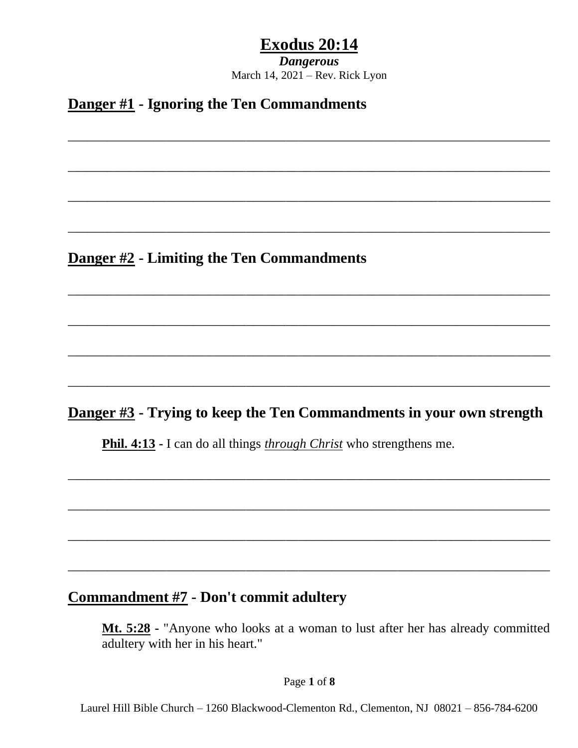*Dangerous* March 14, 2021 – Rev. Rick Lyon

\_\_\_\_\_\_\_\_\_\_\_\_\_\_\_\_\_\_\_\_\_\_\_\_\_\_\_\_\_\_\_\_\_\_\_\_\_\_\_\_\_\_\_\_\_\_\_\_\_\_\_\_\_\_\_\_\_\_\_\_\_\_\_\_\_\_\_\_\_\_\_\_\_

\_\_\_\_\_\_\_\_\_\_\_\_\_\_\_\_\_\_\_\_\_\_\_\_\_\_\_\_\_\_\_\_\_\_\_\_\_\_\_\_\_\_\_\_\_\_\_\_\_\_\_\_\_\_\_\_\_\_\_\_\_\_\_\_\_\_\_\_\_\_\_\_\_

\_\_\_\_\_\_\_\_\_\_\_\_\_\_\_\_\_\_\_\_\_\_\_\_\_\_\_\_\_\_\_\_\_\_\_\_\_\_\_\_\_\_\_\_\_\_\_\_\_\_\_\_\_\_\_\_\_\_\_\_\_\_\_\_\_\_\_\_\_\_\_\_\_

\_\_\_\_\_\_\_\_\_\_\_\_\_\_\_\_\_\_\_\_\_\_\_\_\_\_\_\_\_\_\_\_\_\_\_\_\_\_\_\_\_\_\_\_\_\_\_\_\_\_\_\_\_\_\_\_\_\_\_\_\_\_\_\_\_\_\_\_\_\_\_\_\_

\_\_\_\_\_\_\_\_\_\_\_\_\_\_\_\_\_\_\_\_\_\_\_\_\_\_\_\_\_\_\_\_\_\_\_\_\_\_\_\_\_\_\_\_\_\_\_\_\_\_\_\_\_\_\_\_\_\_\_\_\_\_\_\_\_\_\_\_\_\_\_\_\_

\_\_\_\_\_\_\_\_\_\_\_\_\_\_\_\_\_\_\_\_\_\_\_\_\_\_\_\_\_\_\_\_\_\_\_\_\_\_\_\_\_\_\_\_\_\_\_\_\_\_\_\_\_\_\_\_\_\_\_\_\_\_\_\_\_\_\_\_\_\_\_\_\_

\_\_\_\_\_\_\_\_\_\_\_\_\_\_\_\_\_\_\_\_\_\_\_\_\_\_\_\_\_\_\_\_\_\_\_\_\_\_\_\_\_\_\_\_\_\_\_\_\_\_\_\_\_\_\_\_\_\_\_\_\_\_\_\_\_\_\_\_\_\_\_\_\_

\_\_\_\_\_\_\_\_\_\_\_\_\_\_\_\_\_\_\_\_\_\_\_\_\_\_\_\_\_\_\_\_\_\_\_\_\_\_\_\_\_\_\_\_\_\_\_\_\_\_\_\_\_\_\_\_\_\_\_\_\_\_\_\_\_\_\_\_\_\_\_\_\_

**Danger #1 - Ignoring the Ten Commandments**

**Danger #2 - Limiting the Ten Commandments**

### **Danger #3 - Trying to keep the Ten Commandments in your own strength**

\_\_\_\_\_\_\_\_\_\_\_\_\_\_\_\_\_\_\_\_\_\_\_\_\_\_\_\_\_\_\_\_\_\_\_\_\_\_\_\_\_\_\_\_\_\_\_\_\_\_\_\_\_\_\_\_\_\_\_\_\_\_\_\_\_\_\_\_\_\_\_\_\_

\_\_\_\_\_\_\_\_\_\_\_\_\_\_\_\_\_\_\_\_\_\_\_\_\_\_\_\_\_\_\_\_\_\_\_\_\_\_\_\_\_\_\_\_\_\_\_\_\_\_\_\_\_\_\_\_\_\_\_\_\_\_\_\_\_\_\_\_\_\_\_\_\_

\_\_\_\_\_\_\_\_\_\_\_\_\_\_\_\_\_\_\_\_\_\_\_\_\_\_\_\_\_\_\_\_\_\_\_\_\_\_\_\_\_\_\_\_\_\_\_\_\_\_\_\_\_\_\_\_\_\_\_\_\_\_\_\_\_\_\_\_\_\_\_\_\_

\_\_\_\_\_\_\_\_\_\_\_\_\_\_\_\_\_\_\_\_\_\_\_\_\_\_\_\_\_\_\_\_\_\_\_\_\_\_\_\_\_\_\_\_\_\_\_\_\_\_\_\_\_\_\_\_\_\_\_\_\_\_\_\_\_\_\_\_\_\_\_\_\_

**Phil. 4:13 -** I can do all things *through Christ* who strengthens me.

### **Commandment #7 - Don't commit adultery**

**Mt. 5:28 -** "Anyone who looks at a woman to lust after her has already committed adultery with her in his heart."

Page **1** of **8**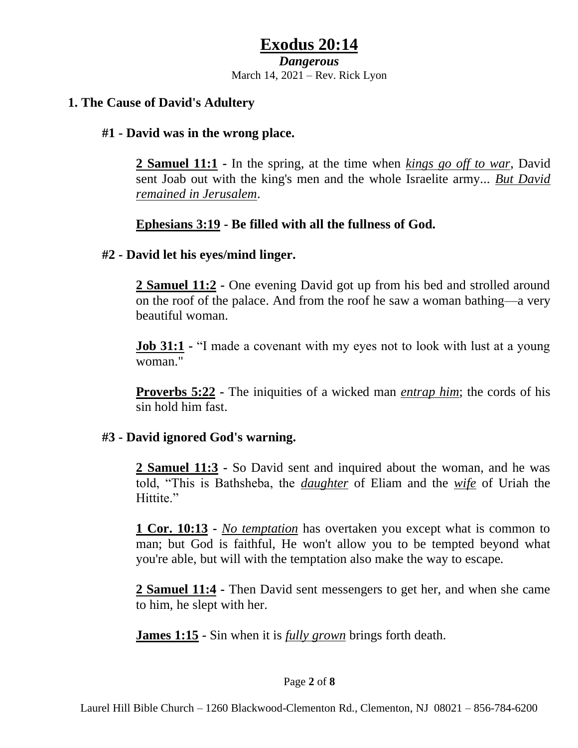#### *Dangerous*

March 14, 2021 – Rev. Rick Lyon

#### **1. The Cause of David's Adultery**

#### **#1 - David was in the wrong place.**

**2 Samuel 11:1 -** In the spring, at the time when *kings go off to war*, David sent Joab out with the king's men and the whole Israelite army... *But David remained in Jerusalem*.

### **Ephesians 3:19 - Be filled with all the fullness of God.**

#### **#2 - David let his eyes/mind linger.**

**2 Samuel 11:2 -** One evening David got up from his bed and strolled around on the roof of the palace. And from the roof he saw a woman bathing—a very beautiful woman.

**<u>Job 31:1</u>** • "I made a covenant with my eyes not to look with lust at a young woman."

**Proverbs 5:22 -** The iniquities of a wicked man *entrap him*; the cords of his sin hold him fast.

### **#3 - David ignored God's warning.**

**2 Samuel 11:3 -** So David sent and inquired about the woman, and he was told, "This is Bathsheba, the *daughter* of Eliam and the *wife* of Uriah the Hittite."

**1 Cor. 10:13 -** *No temptation* has overtaken you except what is common to man; but God is faithful, He won't allow you to be tempted beyond what you're able, but will with the temptation also make the way to escape.

**2 Samuel 11:4 -** Then David sent messengers to get her, and when she came to him, he slept with her.

**James 1:15 -** Sin when it is *fully grown* brings forth death.

#### Page **2** of **8**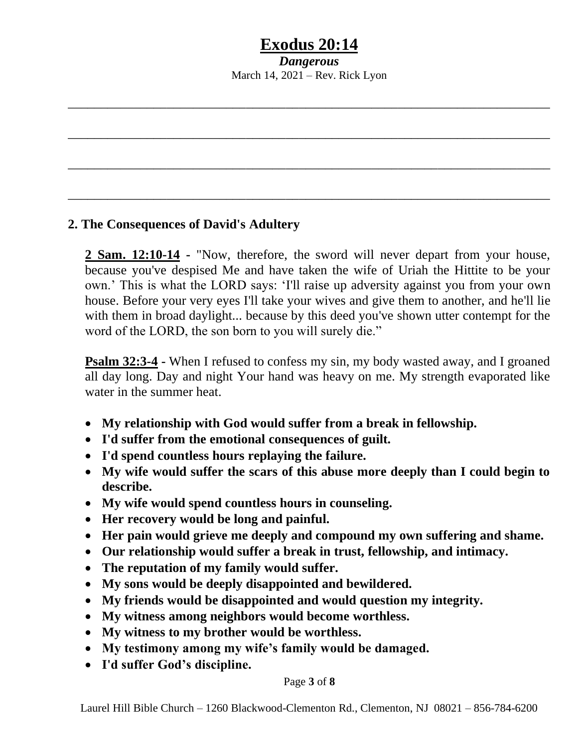*Dangerous* March 14, 2021 – Rev. Rick Lyon

\_\_\_\_\_\_\_\_\_\_\_\_\_\_\_\_\_\_\_\_\_\_\_\_\_\_\_\_\_\_\_\_\_\_\_\_\_\_\_\_\_\_\_\_\_\_\_\_\_\_\_\_\_\_\_\_\_\_\_\_\_\_\_\_\_\_\_\_\_\_\_\_\_

\_\_\_\_\_\_\_\_\_\_\_\_\_\_\_\_\_\_\_\_\_\_\_\_\_\_\_\_\_\_\_\_\_\_\_\_\_\_\_\_\_\_\_\_\_\_\_\_\_\_\_\_\_\_\_\_\_\_\_\_\_\_\_\_\_\_\_\_\_\_\_\_\_

\_\_\_\_\_\_\_\_\_\_\_\_\_\_\_\_\_\_\_\_\_\_\_\_\_\_\_\_\_\_\_\_\_\_\_\_\_\_\_\_\_\_\_\_\_\_\_\_\_\_\_\_\_\_\_\_\_\_\_\_\_\_\_\_\_\_\_\_\_\_\_\_\_

\_\_\_\_\_\_\_\_\_\_\_\_\_\_\_\_\_\_\_\_\_\_\_\_\_\_\_\_\_\_\_\_\_\_\_\_\_\_\_\_\_\_\_\_\_\_\_\_\_\_\_\_\_\_\_\_\_\_\_\_\_\_\_\_\_\_\_\_\_\_\_\_\_

### **2. The Consequences of David's Adultery**

**2 Sam. 12:10-14 -** "Now, therefore, the sword will never depart from your house, because you've despised Me and have taken the wife of Uriah the Hittite to be your own.' This is what the LORD says: 'I'll raise up adversity against you from your own house. Before your very eyes I'll take your wives and give them to another, and he'll lie with them in broad daylight... because by this deed you've shown utter contempt for the word of the LORD, the son born to you will surely die."

**Psalm 32:3-4 -** When I refused to confess my sin, my body wasted away, and I groaned all day long. Day and night Your hand was heavy on me. My strength evaporated like water in the summer heat.

- **My relationship with God would suffer from a break in fellowship.**
- **I'd suffer from the emotional consequences of guilt.**
- **I'd spend countless hours replaying the failure.**
- **My wife would suffer the scars of this abuse more deeply than I could begin to describe.**
- **My wife would spend countless hours in counseling.**
- **Her recovery would be long and painful.**
- **Her pain would grieve me deeply and compound my own suffering and shame.**
- **Our relationship would suffer a break in trust, fellowship, and intimacy.**
- **The reputation of my family would suffer.**
- **My sons would be deeply disappointed and bewildered.**
- **My friends would be disappointed and would question my integrity.**
- **My witness among neighbors would become worthless.**
- **My witness to my brother would be worthless.**
- **My testimony among my wife's family would be damaged.**
- **I'd suffer God's discipline.**

#### Page **3** of **8**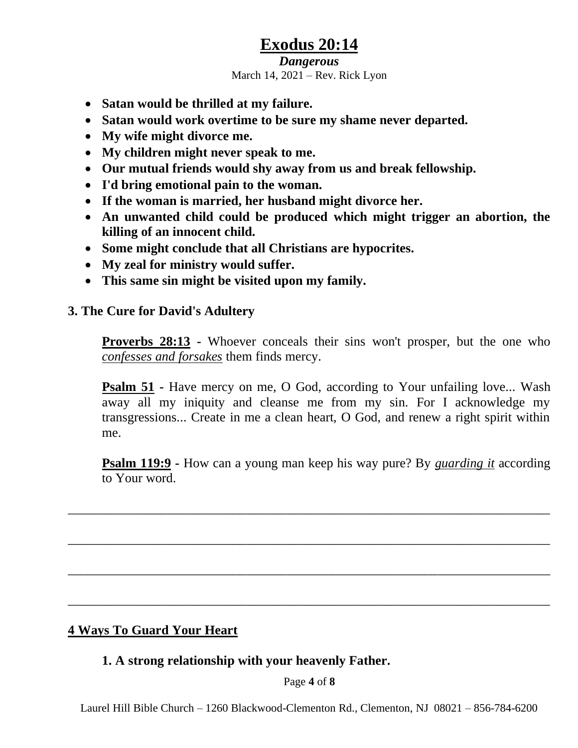#### *Dangerous*

March 14, 2021 – Rev. Rick Lyon

- **Satan would be thrilled at my failure.**
- **Satan would work overtime to be sure my shame never departed.**
- **My wife might divorce me.**
- **My children might never speak to me.**
- **Our mutual friends would shy away from us and break fellowship.**
- **I'd bring emotional pain to the woman.**
- **If the woman is married, her husband might divorce her.**
- **An unwanted child could be produced which might trigger an abortion, the killing of an innocent child.**
- **Some might conclude that all Christians are hypocrites.**
- **My zeal for ministry would suffer.**
- **This same sin might be visited upon my family.**

#### **3. The Cure for David's Adultery**

**Proverbs 28:13 -** Whoever conceals their sins won't prosper, but the one who *confesses and forsakes* them finds mercy.

**Psalm 51 -** Have mercy on me, O God, according to Your unfailing love... Wash away all my iniquity and cleanse me from my sin. For I acknowledge my transgressions... Create in me a clean heart, O God, and renew a right spirit within me.

**Psalm 119:9 -** How can a young man keep his way pure? By *guarding it* according to Your word.

\_\_\_\_\_\_\_\_\_\_\_\_\_\_\_\_\_\_\_\_\_\_\_\_\_\_\_\_\_\_\_\_\_\_\_\_\_\_\_\_\_\_\_\_\_\_\_\_\_\_\_\_\_\_\_\_\_\_\_\_\_\_\_\_\_\_\_\_\_\_\_\_\_

\_\_\_\_\_\_\_\_\_\_\_\_\_\_\_\_\_\_\_\_\_\_\_\_\_\_\_\_\_\_\_\_\_\_\_\_\_\_\_\_\_\_\_\_\_\_\_\_\_\_\_\_\_\_\_\_\_\_\_\_\_\_\_\_\_\_\_\_\_\_\_\_\_

\_\_\_\_\_\_\_\_\_\_\_\_\_\_\_\_\_\_\_\_\_\_\_\_\_\_\_\_\_\_\_\_\_\_\_\_\_\_\_\_\_\_\_\_\_\_\_\_\_\_\_\_\_\_\_\_\_\_\_\_\_\_\_\_\_\_\_\_\_\_\_\_\_

\_\_\_\_\_\_\_\_\_\_\_\_\_\_\_\_\_\_\_\_\_\_\_\_\_\_\_\_\_\_\_\_\_\_\_\_\_\_\_\_\_\_\_\_\_\_\_\_\_\_\_\_\_\_\_\_\_\_\_\_\_\_\_\_\_\_\_\_\_\_\_\_\_

### **4 Ways To Guard Your Heart**

#### **1. A strong relationship with your heavenly Father.**

Page **4** of **8**

Laurel Hill Bible Church – 1260 Blackwood-Clementon Rd., Clementon, NJ 08021 – 856-784-6200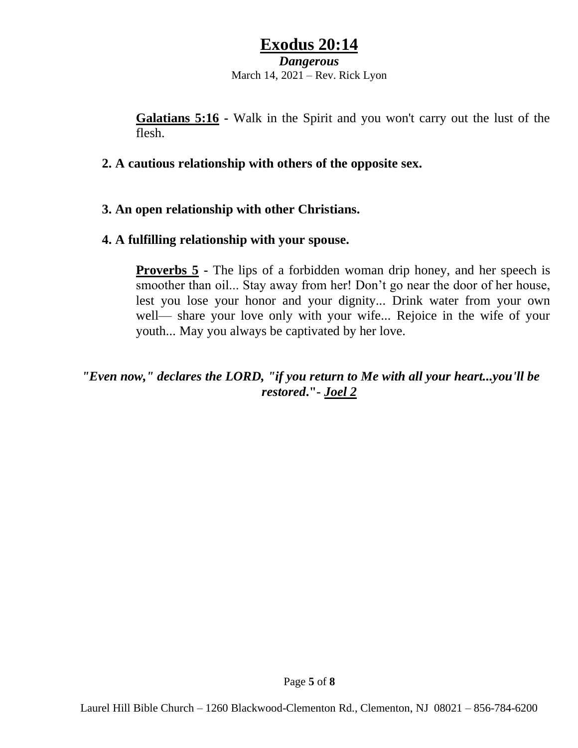#### *Dangerous*

March 14, 2021 – Rev. Rick Lyon

**Galatians 5:16 -** Walk in the Spirit and you won't carry out the lust of the flesh.

#### **2. A cautious relationship with others of the opposite sex.**

### **3. An open relationship with other Christians.**

#### **4. A fulfilling relationship with your spouse.**

**Proverbs 5 -** The lips of a forbidden woman drip honey, and her speech is smoother than oil... Stay away from her! Don't go near the door of her house, lest you lose your honor and your dignity... Drink water from your own well— share your love only with your wife... Rejoice in the wife of your youth... May you always be captivated by her love.

### *"Even now," declares the LORD, "if you return to Me with all your heart...you'll be restored***."-** *Joel 2*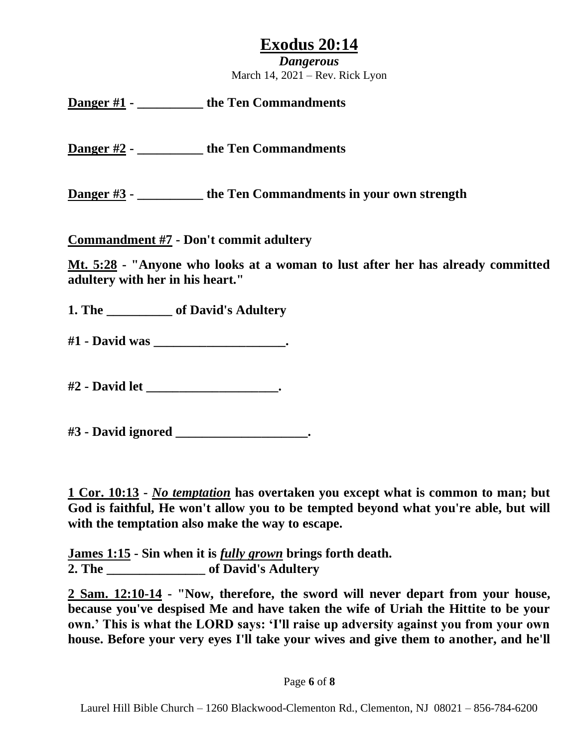*Dangerous* March 14, 2021 – Rev. Rick Lyon

### **Danger #1 - \_\_\_\_\_\_\_\_\_\_ the Ten Commandments**

**Danger #2 - \_\_\_\_\_\_\_\_\_\_ the Ten Commandments**

**Danger #3 - \_\_\_\_\_\_\_\_\_\_ the Ten Commandments in your own strength**

**Commandment #7 - Don't commit adultery**

**Mt. 5:28 - "Anyone who looks at a woman to lust after her has already committed adultery with her in his heart."**

**1. The \_\_\_\_\_\_\_\_\_\_ of David's Adultery**

**#1 - David was \_\_\_\_\_\_\_\_\_\_\_\_\_\_\_\_\_\_\_\_.**

**#2 - David let \_\_\_\_\_\_\_\_\_\_\_\_\_\_\_\_\_\_\_\_.**

**#3 - David ignored \_\_\_\_\_\_\_\_\_\_\_\_\_\_\_\_\_\_\_\_.**

**1 Cor. 10:13 -** *No temptation* **has overtaken you except what is common to man; but God is faithful, He won't allow you to be tempted beyond what you're able, but will with the temptation also make the way to escape.**

**James 1:15 - Sin when it is** *fully grown* **brings forth death. 2. The \_\_\_\_\_\_\_\_\_\_\_\_\_\_\_ of David's Adultery**

**2 Sam. 12:10-14 - "Now, therefore, the sword will never depart from your house, because you've despised Me and have taken the wife of Uriah the Hittite to be your own.' This is what the LORD says: 'I'll raise up adversity against you from your own house. Before your very eyes I'll take your wives and give them to another, and he'll**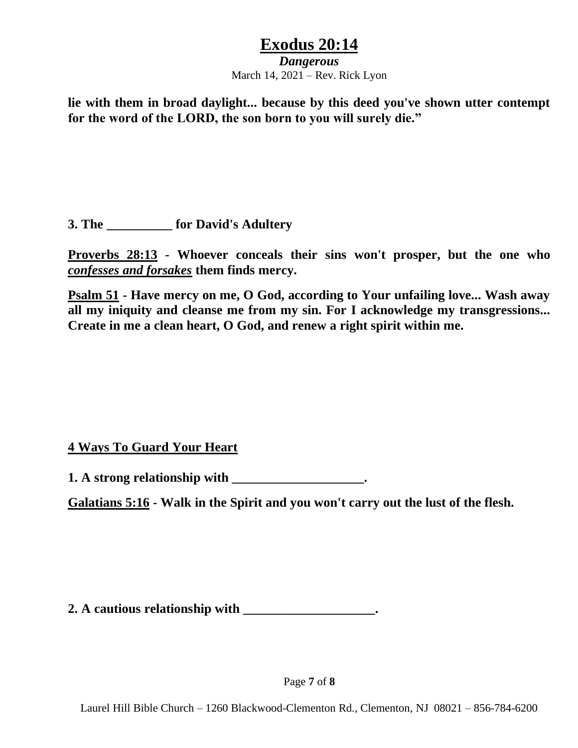#### *Dangerous*

March 14, 2021 – Rev. Rick Lyon

**lie with them in broad daylight... because by this deed you've shown utter contempt for the word of the LORD, the son born to you will surely die."**

**3. The \_\_\_\_\_\_\_\_\_\_ for David's Adultery**

**Proverbs 28:13 - Whoever conceals their sins won't prosper, but the one who**  *confesses and forsakes* **them finds mercy.**

**Psalm 51 - Have mercy on me, O God, according to Your unfailing love... Wash away all my iniquity and cleanse me from my sin. For I acknowledge my transgressions... Create in me a clean heart, O God, and renew a right spirit within me.**

### **4 Ways To Guard Your Heart**

**1. A strong relationship with \_\_\_\_\_\_\_\_\_\_\_\_\_\_\_\_\_\_\_\_.**

**Galatians 5:16 - Walk in the Spirit and you won't carry out the lust of the flesh.**

**2. A cautious relationship with \_\_\_\_\_\_\_\_\_\_\_\_\_\_\_\_\_\_\_\_.**

Page **7** of **8**